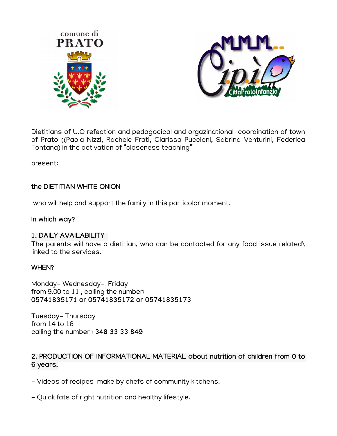



Dietitians of U.O refection and pedagocical and orgazinational coordination of town of Prato ((Paola Nizzi, Rachele Frati, Clarissa Puccioni, Sabrina Venturini, Federica Fontana) in the activation of "closeness teaching"

present:

# **the DIETITIAN WHITE ONION**

who will help and support the family in this particolar moment.

**In which way?**

# 1**. DAILY AVAILABILITY**

The parents will have a dietitian, who can be contacted for any food issue related\ linked to the services.

# **WHEN?**

Monday- Wednesday- Friday from 9.00 to 11 , calling the number: **05741835171 or 05741835172 or 05741835173**

Tuesday- Thursday from 14 to 16 calling the number : **348 33 33 849**

# **2. PRODUCTION OF INFORMATIONAL MATERIAL about nutrition of children from 0 to 6 years.**

- Videos of recipes make by chefs of community kitchens.
- Quick fats of right nutrition and healthy lifestyle.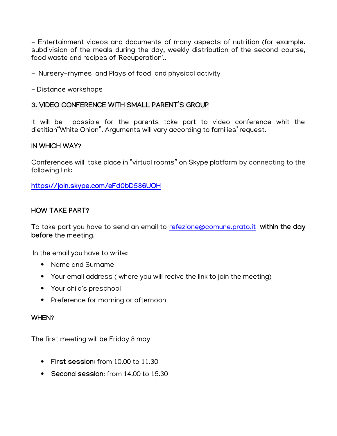- Entertainment videos and documents of many aspects of nutrition (for example. subdivision of the meals during the day, weekly distribution of the second course, food waste and recipes of 'Recuperation'..

- Nursery-rhymes and Plays of food and physical activity
- Distance workshops

## **3. VIDEO CONFERENCE WITH SMALL PARENT'S GROUP**

It will be possible for the parents take part to video conference whit the dietitian"White Onion". Arguments will vary according to families' request.

#### **IN WHICH WAY?**

Conferences will take place in "virtual rooms" on Skype platform by connecting to the following link:

**<https://join.skype.com/eFd0bD586UOH>**

## **HOW TAKE PART?**

To take part you have to send an email to [refezione@comune.prato.it](mailto:refezione@comune.prato.it) **within the day before** the meeting.

In the email you have to write:

- Name and Surname
- Your email address ( where you will recive the link to join the meeting)
- Your child's preschool
- Preference for morning or afternoon

#### **WHEN?**

The first meeting will be Friday 8 may

- **First session**: from 10.00 to 11.30
- **Second session:** from 14.00 to 15.30